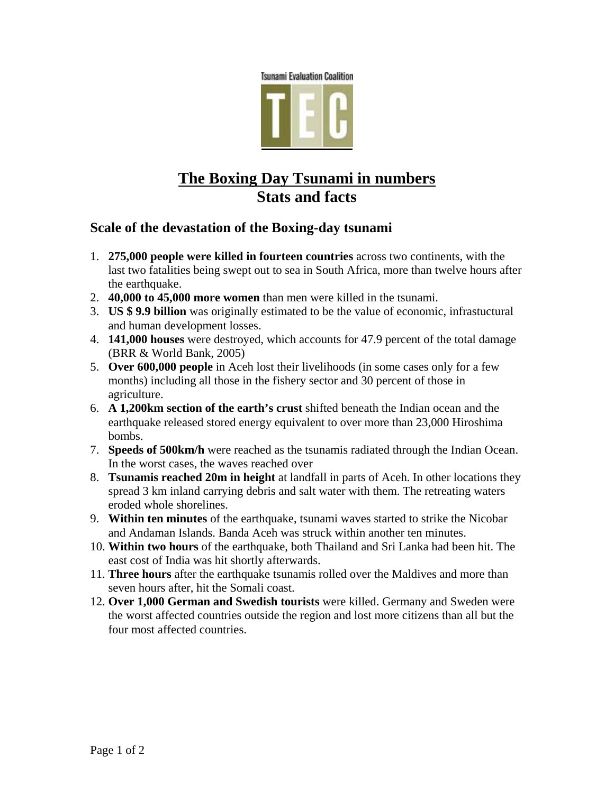

## **The Boxing Day Tsunami in numbers Stats and facts**

## **Scale of the devastation of the Boxing-day tsunami**

- 1. **275,000 people were killed in fourteen countries** across two continents, with the last two fatalities being swept out to sea in South Africa, more than twelve hours after the earthquake.
- 2. **40,000 to 45,000 more women** than men were killed in the tsunami.
- 3. **US \$ 9.9 billion** was originally estimated to be the value of economic, infrastuctural and human development losses.
- 4. **141,000 houses** were destroyed, which accounts for 47.9 percent of the total damage (BRR & World Bank, 2005)
- 5. **Over 600,000 people** in Aceh lost their livelihoods (in some cases only for a few months) including all those in the fishery sector and 30 percent of those in agriculture.
- 6. **A 1,200km section of the earth's crust** shifted beneath the Indian ocean and the earthquake released stored energy equivalent to over more than 23,000 Hiroshima bombs.
- 7. **Speeds of 500km/h** were reached as the tsunamis radiated through the Indian Ocean. In the worst cases, the waves reached over
- 8. **Tsunamis reached 20m in height** at landfall in parts of Aceh. In other locations they spread 3 km inland carrying debris and salt water with them. The retreating waters eroded whole shorelines.
- 9. **Within ten minutes** of the earthquake, tsunami waves started to strike the Nicobar and Andaman Islands. Banda Aceh was struck within another ten minutes.
- 10. **Within two hours** of the earthquake, both Thailand and Sri Lanka had been hit. The east cost of India was hit shortly afterwards.
- 11. **Three hours** after the earthquake tsunamis rolled over the Maldives and more than seven hours after, hit the Somali coast.
- 12. **Over 1,000 German and Swedish tourists** were killed. Germany and Sweden were the worst affected countries outside the region and lost more citizens than all but the four most affected countries.